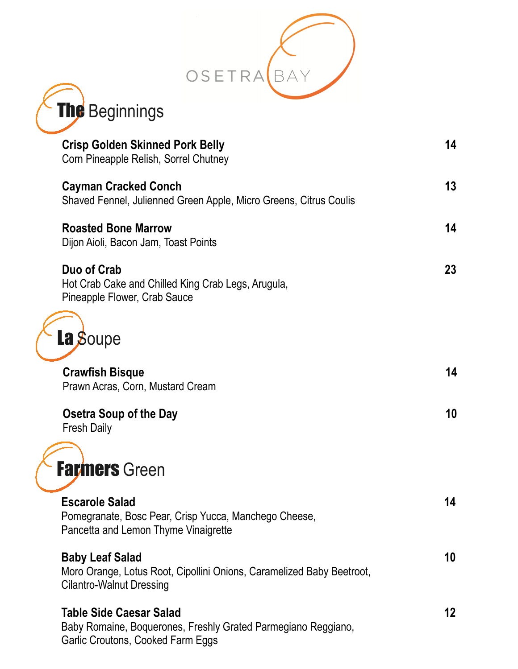



| <b>Crisp Golden Skinned Pork Belly</b><br>Corn Pineapple Relish, Sorrel Chutney                                                    | 14 |
|------------------------------------------------------------------------------------------------------------------------------------|----|
| <b>Cayman Cracked Conch</b><br>Shaved Fennel, Julienned Green Apple, Micro Greens, Citrus Coulis                                   | 13 |
| <b>Roasted Bone Marrow</b><br>Dijon Aioli, Bacon Jam, Toast Points                                                                 | 14 |
| Duo of Crab<br>Hot Crab Cake and Chilled King Crab Legs, Arugula,<br>Pineapple Flower, Crab Sauce                                  | 23 |
| La Soupe                                                                                                                           |    |
| <b>Crawfish Bisque</b><br>Prawn Acras, Corn, Mustard Cream                                                                         | 14 |
| Osetra Soup of the Day<br><b>Fresh Daily</b>                                                                                       | 10 |
| <b>Farmers</b> Green                                                                                                               |    |
| <b>Escarole Salad</b><br>Pomegranate, Bosc Pear, Crisp Yucca, Manchego Cheese,<br>Pancetta and Lemon Thyme Vinaigrette             | 14 |
| <b>Baby Leaf Salad</b><br>Moro Orange, Lotus Root, Cipollini Onions, Caramelized Baby Beetroot,<br><b>Cilantro-Walnut Dressing</b> | 10 |
| Table Side Caesar Salad<br>Baby Romaine, Boquerones, Freshly Grated Parmegiano Reggiano,<br>Garlic Croutons, Cooked Farm Eggs      | 12 |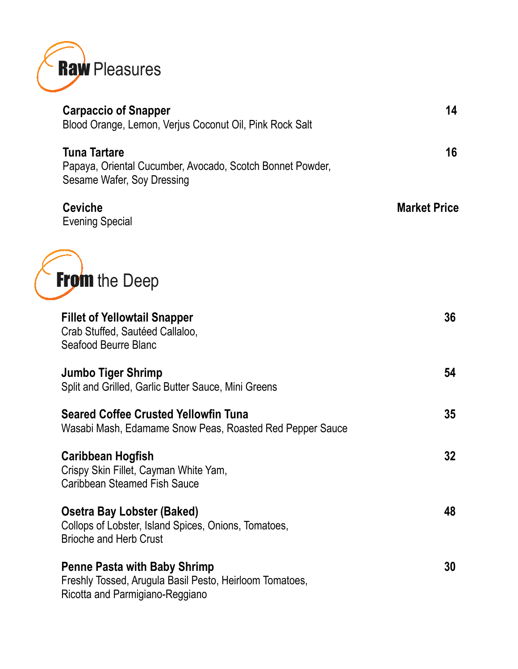

| <b>Carpaccio of Snapper</b><br>Blood Orange, Lemon, Verjus Coconut Oil, Pink Rock Salt                                            | 14                  |
|-----------------------------------------------------------------------------------------------------------------------------------|---------------------|
| <b>Tuna Tartare</b><br>Papaya, Oriental Cucumber, Avocado, Scotch Bonnet Powder,<br>Sesame Wafer, Soy Dressing                    | 16                  |
| <b>Ceviche</b><br><b>Evening Special</b>                                                                                          | <b>Market Price</b> |
| <b>From the Deep</b>                                                                                                              |                     |
| <b>Fillet of Yellowtail Snapper</b><br>Crab Stuffed, Sautéed Callaloo,<br>Seafood Beurre Blanc                                    | 36                  |
| <b>Jumbo Tiger Shrimp</b><br>Split and Grilled, Garlic Butter Sauce, Mini Greens                                                  | 54                  |
| <b>Seared Coffee Crusted Yellowfin Tuna</b><br>Wasabi Mash, Edamame Snow Peas, Roasted Red Pepper Sauce                           | 35                  |
| <b>Caribbean Hogfish</b><br>Crispy Skin Fillet, Cayman White Yam,<br>Caribbean Steamed Fish Sauce                                 | 32                  |
| <b>Osetra Bay Lobster (Baked)</b><br>Collops of Lobster, Island Spices, Onions, Tomatoes,<br><b>Brioche and Herb Crust</b>        | 48                  |
| <b>Penne Pasta with Baby Shrimp</b><br>Freshly Tossed, Arugula Basil Pesto, Heirloom Tomatoes,<br>Ricotta and Parmigiano-Reggiano | 30                  |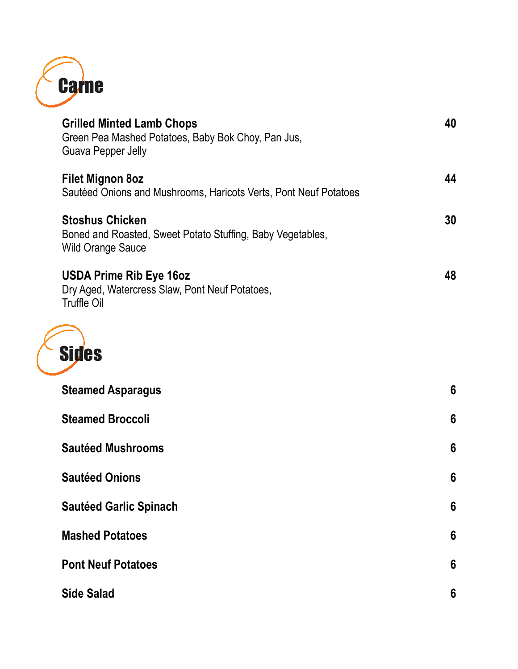

| <b>Grilled Minted Lamb Chops</b><br>Green Pea Mashed Potatoes, Baby Bok Choy, Pan Jus,<br><b>Guava Pepper Jelly</b> | 40 |
|---------------------------------------------------------------------------------------------------------------------|----|
| <b>Filet Mignon 8oz</b><br>Sautéed Onions and Mushrooms, Haricots Verts, Pont Neuf Potatoes                         | 44 |
| <b>Stoshus Chicken</b><br>Boned and Roasted, Sweet Potato Stuffing, Baby Vegetables,<br><b>Wild Orange Sauce</b>    | 30 |
| <b>USDA Prime Rib Eye 16oz</b><br>Dry Aged, Watercress Slaw, Pont Neuf Potatoes,<br><b>Truffle Oil</b>              | 48 |
| <b>Sides</b>                                                                                                        |    |
| <b>Steamed Asparagus</b>                                                                                            | 6  |
| <b>Steamed Broccoli</b>                                                                                             | 6  |
| <b>Sautéed Mushrooms</b>                                                                                            | 6  |
| <b>Sautéed Onions</b>                                                                                               | 6  |
| <b>Sautéed Garlic Spinach</b>                                                                                       | 6  |
| <b>Mashed Potatoes</b>                                                                                              | 6  |
| <b>Pont Neuf Potatoes</b>                                                                                           | 6  |
| <b>Side Salad</b>                                                                                                   | 6  |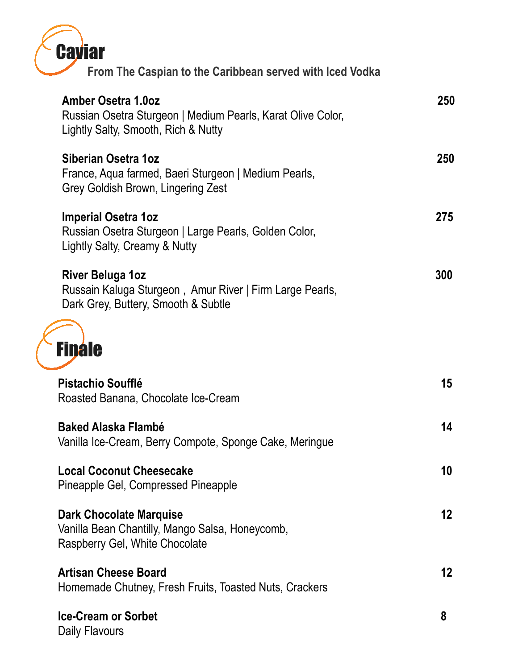| Caviar                                                                                                                     |         |
|----------------------------------------------------------------------------------------------------------------------------|---------|
| From The Caspian to the Caribbean served with Iced Vodka                                                                   |         |
| Amber Osetra 1.0oz<br>Russian Osetra Sturgeon   Medium Pearls, Karat Olive Color,<br>Lightly Salty, Smooth, Rich & Nutty   | 250     |
| Siberian Osetra 1oz<br>France, Aqua farmed, Baeri Sturgeon   Medium Pearls,<br>Grey Goldish Brown, Lingering Zest          | 250     |
| <b>Imperial Osetra 1oz</b><br>Russian Osetra Sturgeon   Large Pearls, Golden Color,<br>Lightly Salty, Creamy & Nutty       | 275     |
| <b>River Beluga 1oz</b><br>Russain Kaluga Sturgeon, Amur River   Firm Large Pearls,<br>Dark Grey, Buttery, Smooth & Subtle | 300     |
| <b>Finale</b>                                                                                                              |         |
| Pistachio Soufflé<br>Roasted Banana, Chocolate Ice-Cream                                                                   | 15      |
| Baked Alaska Flambé<br>Vanilla Ice-Cream, Berry Compote, Sponge Cake, Meringue                                             | 14      |
| <b>Local Coconut Cheesecake</b><br>Pineapple Gel, Compressed Pineapple                                                     | 10      |
| <b>Dark Chocolate Marquise</b><br>Vanilla Bean Chantilly, Mango Salsa, Honeycomb,<br>Raspberry Gel, White Chocolate        | $12 \,$ |
| <b>Artisan Cheese Board</b><br>Homemade Chutney, Fresh Fruits, Toasted Nuts, Crackers                                      | 12      |
| <b>Ice-Cream or Sorbet</b><br>Daily Flavours                                                                               | 8       |